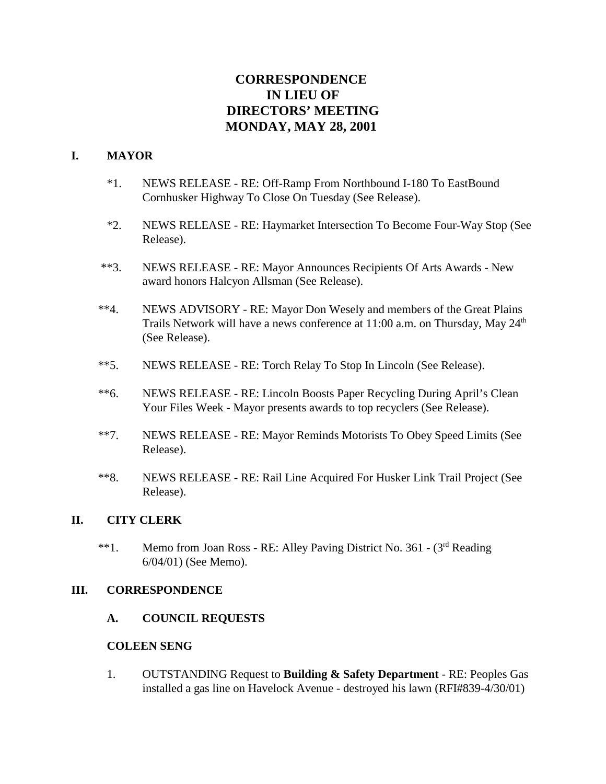# **CORRESPONDENCE IN LIEU OF DIRECTORS' MEETING MONDAY, MAY 28, 2001**

## **I. MAYOR**

- \*1. NEWS RELEASE RE: Off-Ramp From Northbound I-180 To EastBound Cornhusker Highway To Close On Tuesday (See Release).
- \*2. NEWS RELEASE RE: Haymarket Intersection To Become Four-Way Stop (See Release).
- \*\*3. NEWS RELEASE RE: Mayor Announces Recipients Of Arts Awards New award honors Halcyon Allsman (See Release).
- \*\*4. NEWS ADVISORY RE: Mayor Don Wesely and members of the Great Plains Trails Network will have a news conference at  $11:00$  a.m. on Thursday, May  $24<sup>th</sup>$ (See Release).
- \*\*5. NEWS RELEASE RE: Torch Relay To Stop In Lincoln (See Release).
- \*\*6. NEWS RELEASE RE: Lincoln Boosts Paper Recycling During April's Clean Your Files Week - Mayor presents awards to top recyclers (See Release).
- \*\*7. NEWS RELEASE RE: Mayor Reminds Motorists To Obey Speed Limits (See Release).
- \*\*8. NEWS RELEASE RE: Rail Line Acquired For Husker Link Trail Project (See Release).

#### **II. CITY CLERK**

\*\*1. Memo from Joan Ross - RE: Alley Paving District No. 361 -  $(3<sup>rd</sup>$  Reading 6/04/01) (See Memo).

#### **III. CORRESPONDENCE**

**A. COUNCIL REQUESTS**

#### **COLEEN SENG**

1. OUTSTANDING Request to **Building & Safety Department** - RE: Peoples Gas installed a gas line on Havelock Avenue - destroyed his lawn (RFI#839-4/30/01)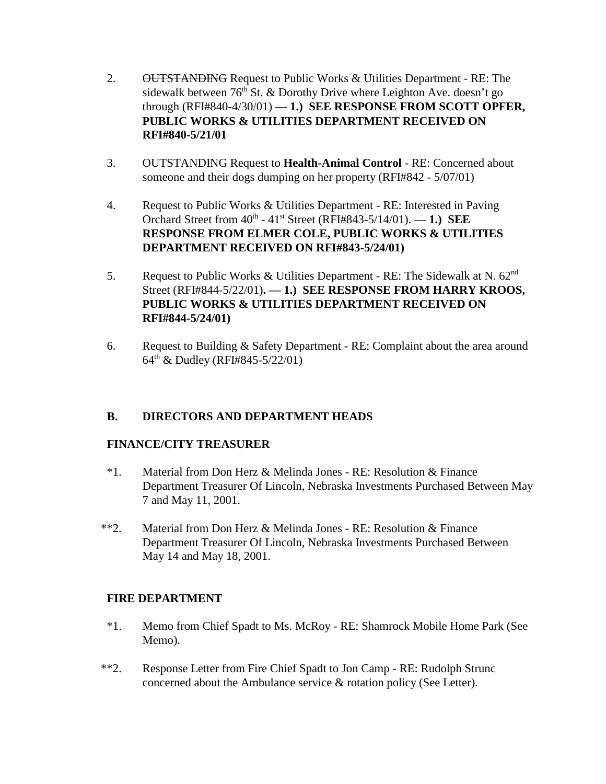- 2. OUTSTANDING Request to Public Works & Utilities Department RE: The sidewalk between  $76<sup>th</sup>$  St. & Dorothy Drive where Leighton Ave. doesn't go through (RFI#840-4/30/01) — **1.) SEE RESPONSE FROM SCOTT OPFER, PUBLIC WORKS & UTILITIES DEPARTMENT RECEIVED ON RFI#840-5/21/01**
- 3. OUTSTANDING Request to **Health-Animal Control** RE: Concerned about someone and their dogs dumping on her property (RFI#842 - 5/07/01)
- 4. Request to Public Works & Utilities Department RE: Interested in Paving Orchard Street from 40th - 41st Street (RFI#843-5/14/01). — **1.) SEE RESPONSE FROM ELMER COLE, PUBLIC WORKS & UTILITIES DEPARTMENT RECEIVED ON RFI#843-5/24/01)**
- 5. Request to Public Works & Utilities Department RE: The Sidewalk at N.  $62<sup>nd</sup>$ Street (RFI#844-5/22/01)**. — 1.) SEE RESPONSE FROM HARRY KROOS, PUBLIC WORKS & UTILITIES DEPARTMENT RECEIVED ON RFI#844-5/24/01)**
- 6. Request to Building & Safety Department RE: Complaint about the area around 64th & Dudley (RFI#845-5/22/01)

# **B. DIRECTORS AND DEPARTMENT HEADS**

# **FINANCE/CITY TREASURER**

- \*1. Material from Don Herz & Melinda Jones RE: Resolution & Finance Department Treasurer Of Lincoln, Nebraska Investments Purchased Between May 7 and May 11, 2001.
- \*\*2. Material from Don Herz & Melinda Jones RE: Resolution & Finance Department Treasurer Of Lincoln, Nebraska Investments Purchased Between May 14 and May 18, 2001.

# **FIRE DEPARTMENT**

- \*1. Memo from Chief Spadt to Ms. McRoy RE: Shamrock Mobile Home Park (See Memo).
- \*\*2. Response Letter from Fire Chief Spadt to Jon Camp RE: Rudolph Strunc concerned about the Ambulance service & rotation policy (See Letter).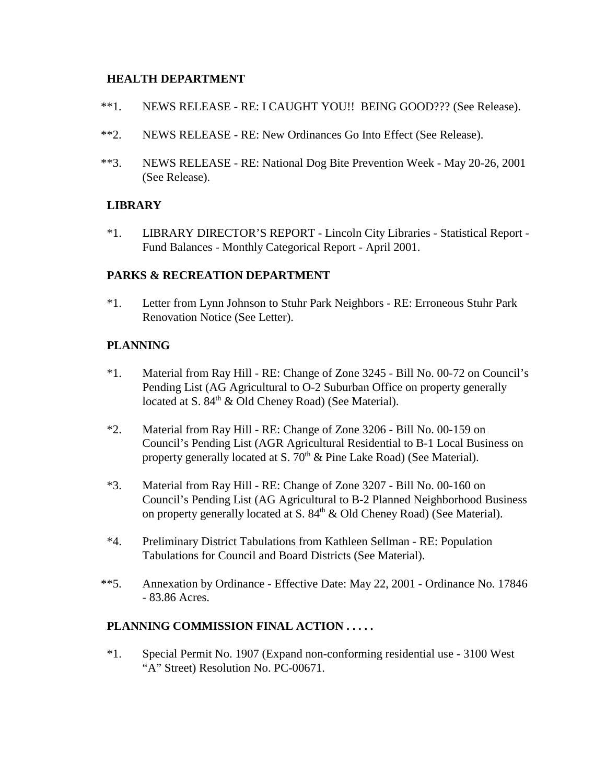## **HEALTH DEPARTMENT**

- \*\*1. NEWS RELEASE RE: I CAUGHT YOU!! BEING GOOD??? (See Release).
- \*\*2. NEWS RELEASE RE: New Ordinances Go Into Effect (See Release).
- \*\*3. NEWS RELEASE RE: National Dog Bite Prevention Week May 20-26, 2001 (See Release).

# **LIBRARY**

\*1. LIBRARY DIRECTOR'S REPORT - Lincoln City Libraries - Statistical Report - Fund Balances - Monthly Categorical Report - April 2001.

### **PARKS & RECREATION DEPARTMENT**

\*1. Letter from Lynn Johnson to Stuhr Park Neighbors - RE: Erroneous Stuhr Park Renovation Notice (See Letter).

# **PLANNING**

- \*1. Material from Ray Hill RE: Change of Zone 3245 Bill No. 00-72 on Council's Pending List (AG Agricultural to O-2 Suburban Office on property generally located at S.  $84<sup>th</sup>$  & Old Cheney Road) (See Material).
- \*2. Material from Ray Hill RE: Change of Zone 3206 Bill No. 00-159 on Council's Pending List (AGR Agricultural Residential to B-1 Local Business on property generally located at S.  $70<sup>th</sup>$  & Pine Lake Road) (See Material).
- \*3. Material from Ray Hill RE: Change of Zone 3207 Bill No. 00-160 on Council's Pending List (AG Agricultural to B-2 Planned Neighborhood Business on property generally located at S.  $84<sup>th</sup>$  & Old Cheney Road) (See Material).
- \*4. Preliminary District Tabulations from Kathleen Sellman RE: Population Tabulations for Council and Board Districts (See Material).
- \*\*5. Annexation by Ordinance Effective Date: May 22, 2001 Ordinance No. 17846 - 83.86 Acres.

# **PLANNING COMMISSION FINAL ACTION . . . . .**

\*1. Special Permit No. 1907 (Expand non-conforming residential use - 3100 West "A" Street) Resolution No. PC-00671.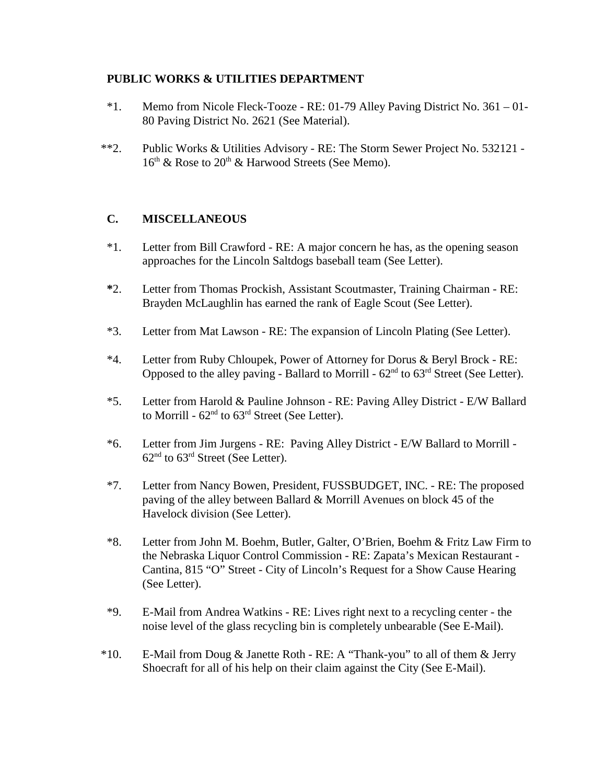# **PUBLIC WORKS & UTILITIES DEPARTMENT**

- \*1. Memo from Nicole Fleck-Tooze RE: 01-79 Alley Paving District No. 361 01- 80 Paving District No. 2621 (See Material).
- \*\*2. Public Works & Utilities Advisory RE: The Storm Sewer Project No. 532121  $16<sup>th</sup>$  & Rose to  $20<sup>th</sup>$  & Harwood Streets (See Memo).

# **C. MISCELLANEOUS**

- \*1. Letter from Bill Crawford RE: A major concern he has, as the opening season approaches for the Lincoln Saltdogs baseball team (See Letter).
- **\***2. Letter from Thomas Prockish, Assistant Scoutmaster, Training Chairman RE: Brayden McLaughlin has earned the rank of Eagle Scout (See Letter).
- \*3. Letter from Mat Lawson RE: The expansion of Lincoln Plating (See Letter).
- \*4. Letter from Ruby Chloupek, Power of Attorney for Dorus & Beryl Brock RE: Opposed to the alley paving - Ballard to Morrill -  $62<sup>nd</sup>$  to  $63<sup>rd</sup>$  Street (See Letter).
- \*5. Letter from Harold & Pauline Johnson RE: Paving Alley District E/W Ballard to Morrill -  $62<sup>nd</sup>$  to  $63<sup>rd</sup>$  Street (See Letter).
- \*6. Letter from Jim Jurgens RE: Paving Alley District E/W Ballard to Morrill  $62<sup>nd</sup>$  to  $63<sup>rd</sup>$  Street (See Letter).
- \*7. Letter from Nancy Bowen, President, FUSSBUDGET, INC. RE: The proposed paving of the alley between Ballard & Morrill Avenues on block 45 of the Havelock division (See Letter).
- \*8. Letter from John M. Boehm, Butler, Galter, O'Brien, Boehm & Fritz Law Firm to the Nebraska Liquor Control Commission - RE: Zapata's Mexican Restaurant - Cantina, 815 "O" Street - City of Lincoln's Request for a Show Cause Hearing (See Letter).
- \*9. E-Mail from Andrea Watkins RE: Lives right next to a recycling center the noise level of the glass recycling bin is completely unbearable (See E-Mail).
- \*10. E-Mail from Doug & Janette Roth RE: A "Thank-you" to all of them & Jerry Shoecraft for all of his help on their claim against the City (See E-Mail).